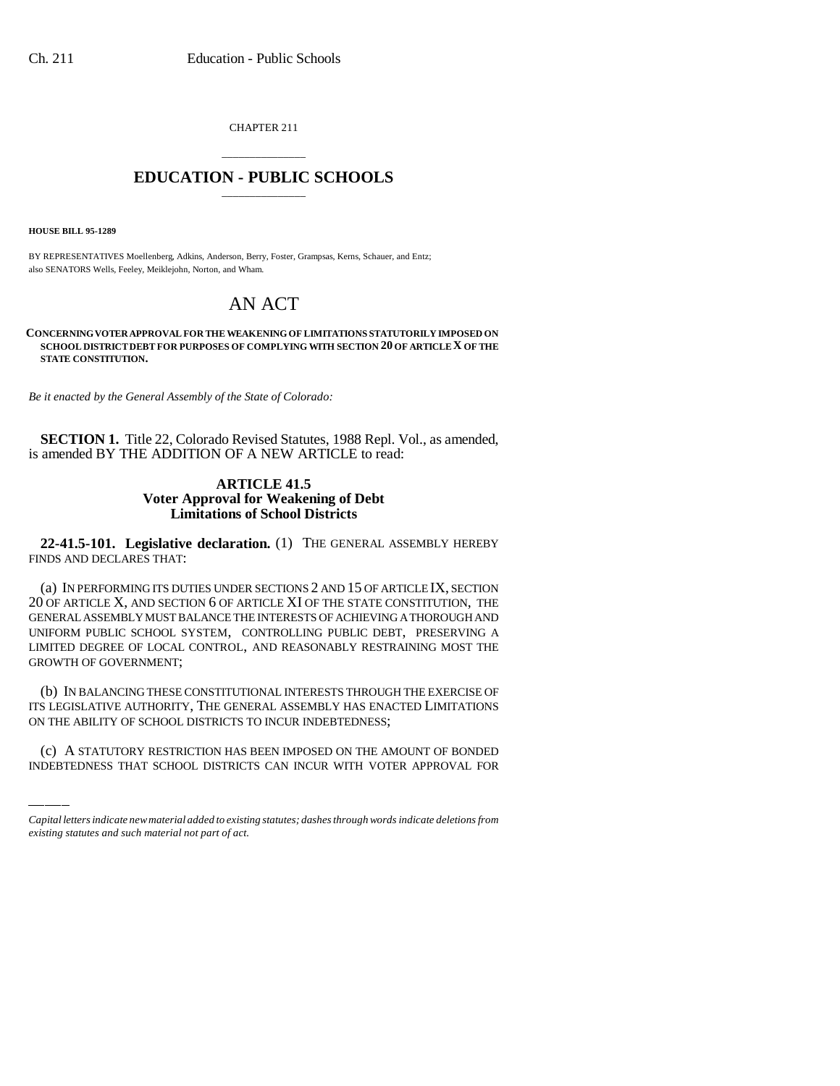CHAPTER 211

## \_\_\_\_\_\_\_\_\_\_\_\_\_\_\_ **EDUCATION - PUBLIC SCHOOLS** \_\_\_\_\_\_\_\_\_\_\_\_\_\_\_

**HOUSE BILL 95-1289**

BY REPRESENTATIVES Moellenberg, Adkins, Anderson, Berry, Foster, Grampsas, Kerns, Schauer, and Entz; also SENATORS Wells, Feeley, Meiklejohn, Norton, and Wham.

## AN ACT

**CONCERNING VOTER APPROVAL FOR THE WEAKENING OF LIMITATIONS STATUTORILY IMPOSED ON SCHOOL DISTRICT DEBT FOR PURPOSES OF COMPLYING WITH SECTION 20 OF ARTICLE X OF THE STATE CONSTITUTION.**

*Be it enacted by the General Assembly of the State of Colorado:*

**SECTION 1.** Title 22, Colorado Revised Statutes, 1988 Repl. Vol., as amended, is amended BY THE ADDITION OF A NEW ARTICLE to read:

## **ARTICLE 41.5 Voter Approval for Weakening of Debt Limitations of School Districts**

**22-41.5-101. Legislative declaration.** (1) THE GENERAL ASSEMBLY HEREBY FINDS AND DECLARES THAT:

(a) IN PERFORMING ITS DUTIES UNDER SECTIONS 2 AND 15 OF ARTICLE IX, SECTION 20 OF ARTICLE X, AND SECTION 6 OF ARTICLE XI OF THE STATE CONSTITUTION, THE GENERAL ASSEMBLY MUST BALANCE THE INTERESTS OF ACHIEVING A THOROUGH AND UNIFORM PUBLIC SCHOOL SYSTEM, CONTROLLING PUBLIC DEBT, PRESERVING A LIMITED DEGREE OF LOCAL CONTROL, AND REASONABLY RESTRAINING MOST THE GROWTH OF GOVERNMENT;

ITS LEGISLATIVE AUTHORITY, THE GENERAL ASSEMBLY HAS ENACTED LIMITATIONS (b) IN BALANCING THESE CONSTITUTIONAL INTERESTS THROUGH THE EXERCISE OF ON THE ABILITY OF SCHOOL DISTRICTS TO INCUR INDEBTEDNESS;

(c) A STATUTORY RESTRICTION HAS BEEN IMPOSED ON THE AMOUNT OF BONDED INDEBTEDNESS THAT SCHOOL DISTRICTS CAN INCUR WITH VOTER APPROVAL FOR

*Capital letters indicate new material added to existing statutes; dashes through words indicate deletions from existing statutes and such material not part of act.*